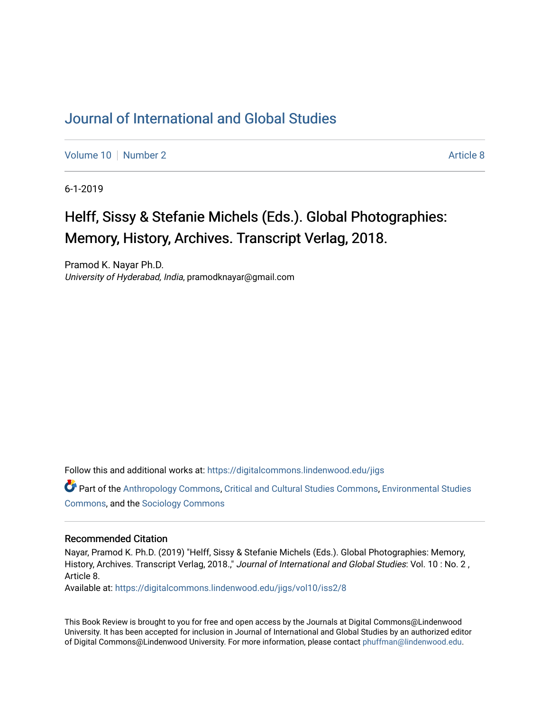## [Journal of International and Global Studies](https://digitalcommons.lindenwood.edu/jigs)

[Volume 10](https://digitalcommons.lindenwood.edu/jigs/vol10) [Number 2](https://digitalcommons.lindenwood.edu/jigs/vol10/iss2) Article 8

6-1-2019

## Helff, Sissy & Stefanie Michels (Eds.). Global Photographies: Memory, History, Archives. Transcript Verlag, 2018.

Pramod K. Nayar Ph.D. University of Hyderabad, India, pramodknayar@gmail.com

Follow this and additional works at: [https://digitalcommons.lindenwood.edu/jigs](https://digitalcommons.lindenwood.edu/jigs?utm_source=digitalcommons.lindenwood.edu%2Fjigs%2Fvol10%2Fiss2%2F8&utm_medium=PDF&utm_campaign=PDFCoverPages) 

Part of the [Anthropology Commons](http://network.bepress.com/hgg/discipline/318?utm_source=digitalcommons.lindenwood.edu%2Fjigs%2Fvol10%2Fiss2%2F8&utm_medium=PDF&utm_campaign=PDFCoverPages), [Critical and Cultural Studies Commons](http://network.bepress.com/hgg/discipline/328?utm_source=digitalcommons.lindenwood.edu%2Fjigs%2Fvol10%2Fiss2%2F8&utm_medium=PDF&utm_campaign=PDFCoverPages), [Environmental Studies](http://network.bepress.com/hgg/discipline/1333?utm_source=digitalcommons.lindenwood.edu%2Fjigs%2Fvol10%2Fiss2%2F8&utm_medium=PDF&utm_campaign=PDFCoverPages)  [Commons](http://network.bepress.com/hgg/discipline/1333?utm_source=digitalcommons.lindenwood.edu%2Fjigs%2Fvol10%2Fiss2%2F8&utm_medium=PDF&utm_campaign=PDFCoverPages), and the [Sociology Commons](http://network.bepress.com/hgg/discipline/416?utm_source=digitalcommons.lindenwood.edu%2Fjigs%2Fvol10%2Fiss2%2F8&utm_medium=PDF&utm_campaign=PDFCoverPages)

## Recommended Citation

Nayar, Pramod K. Ph.D. (2019) "Helff, Sissy & Stefanie Michels (Eds.). Global Photographies: Memory, History, Archives. Transcript Verlag, 2018.," Journal of International and Global Studies: Vol. 10: No. 2, Article 8.

Available at: [https://digitalcommons.lindenwood.edu/jigs/vol10/iss2/8](https://digitalcommons.lindenwood.edu/jigs/vol10/iss2/8?utm_source=digitalcommons.lindenwood.edu%2Fjigs%2Fvol10%2Fiss2%2F8&utm_medium=PDF&utm_campaign=PDFCoverPages) 

This Book Review is brought to you for free and open access by the Journals at Digital Commons@Lindenwood University. It has been accepted for inclusion in Journal of International and Global Studies by an authorized editor of Digital Commons@Lindenwood University. For more information, please contact [phuffman@lindenwood.edu](mailto:phuffman@lindenwood.edu).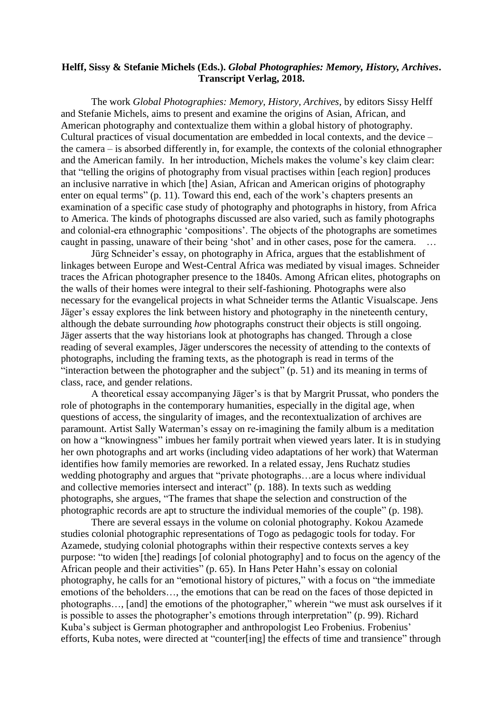## **Helff, Sissy & Stefanie Michels (Eds.).** *Global Photographies: Memory, History, Archives***. Transcript Verlag, 2018.**

The work *Global Photographies: Memory, History, Archives*, by editors Sissy Helff and Stefanie Michels, aims to present and examine the origins of Asian, African, and American photography and contextualize them within a global history of photography. Cultural practices of visual documentation are embedded in local contexts, and the device – the camera – is absorbed differently in, for example, the contexts of the colonial ethnographer and the American family. In her introduction, Michels makes the volume's key claim clear: that "telling the origins of photography from visual practises within [each region] produces an inclusive narrative in which [the] Asian, African and American origins of photography enter on equal terms" (p. 11). Toward this end, each of the work's chapters presents an examination of a specific case study of photography and photographs in history, from Africa to America. The kinds of photographs discussed are also varied, such as family photographs and colonial-era ethnographic 'compositions'. The objects of the photographs are sometimes caught in passing, unaware of their being 'shot' and in other cases, pose for the camera. …

Jürg Schneider's essay, on photography in Africa, argues that the establishment of linkages between Europe and West-Central Africa was mediated by visual images. Schneider traces the African photographer presence to the 1840s. Among African elites, photographs on the walls of their homes were integral to their self-fashioning. Photographs were also necessary for the evangelical projects in what Schneider terms the Atlantic Visualscape. Jens Jäger's essay explores the link between history and photography in the nineteenth century, although the debate surrounding *how* photographs construct their objects is still ongoing. Jäger asserts that the way historians look at photographs has changed. Through a close reading of several examples, Jäger underscores the necessity of attending to the contexts of photographs, including the framing texts, as the photograph is read in terms of the "interaction between the photographer and the subject" (p. 51) and its meaning in terms of class, race, and gender relations.

A theoretical essay accompanying Jäger's is that by Margrit Prussat, who ponders the role of photographs in the contemporary humanities, especially in the digital age, when questions of access, the singularity of images, and the recontextualization of archives are paramount. Artist Sally Waterman's essay on re-imagining the family album is a meditation on how a "knowingness" imbues her family portrait when viewed years later. It is in studying her own photographs and art works (including video adaptations of her work) that Waterman identifies how family memories are reworked. In a related essay, Jens Ruchatz studies wedding photography and argues that "private photographs…are a locus where individual and collective memories intersect and interact" (p. 188). In texts such as wedding photographs, she argues, "The frames that shape the selection and construction of the photographic records are apt to structure the individual memories of the couple" (p. 198).

There are several essays in the volume on colonial photography. Kokou Azamede studies colonial photographic representations of Togo as pedagogic tools for today. For Azamede, studying colonial photographs within their respective contexts serves a key purpose: "to widen [the] readings [of colonial photography] and to focus on the agency of the African people and their activities" (p. 65). In Hans Peter Hahn's essay on colonial photography, he calls for an "emotional history of pictures," with a focus on "the immediate emotions of the beholders…, the emotions that can be read on the faces of those depicted in photographs…, [and] the emotions of the photographer," wherein "we must ask ourselves if it is possible to asses the photographer's emotions through interpretation" (p. 99). Richard Kuba's subject is German photographer and anthropologist Leo Frobenius. Frobenius' efforts, Kuba notes, were directed at "counter[ing] the effects of time and transience" through